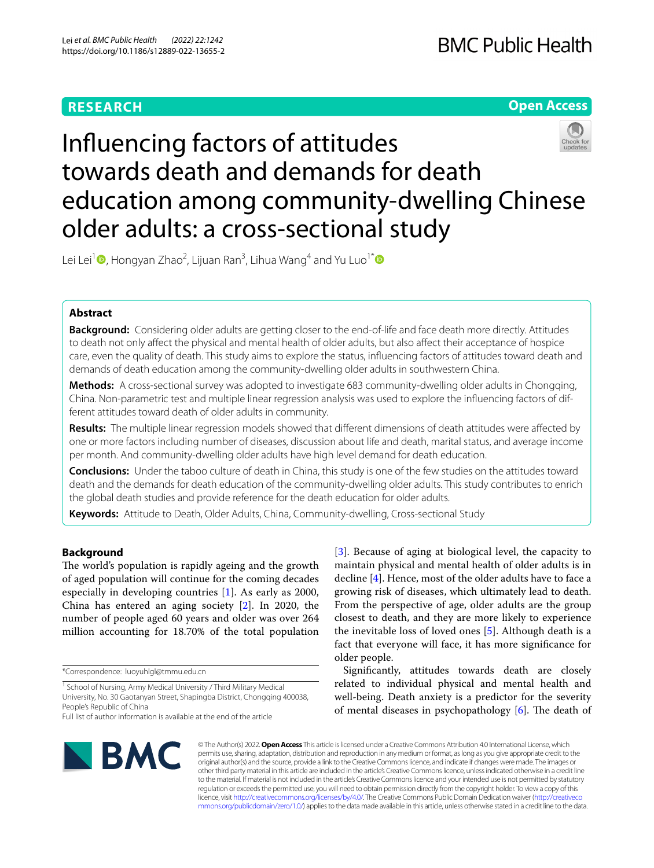# **RESEARCH**

# **Open Access**

# Infuencing factors of attitudes towards death and demands for death education among community-dwelling Chinese older adults: a cross-sectional study

Lei Lei<sup>[1](http://orcid.org/0000-0001-8766-7518)</sup>®, Hongyan Zhao<sup>2</sup>, Lijuan Ran<sup>3</sup>, Lihua Wang<sup>4</sup> and Yu Luo<sup>1\*</sup>®

# **Abstract**

**Background:** Considering older adults are getting closer to the end-of-life and face death more directly. Attitudes to death not only afect the physical and mental health of older adults, but also afect their acceptance of hospice care, even the quality of death. This study aims to explore the status, infuencing factors of attitudes toward death and demands of death education among the community-dwelling older adults in southwestern China.

**Methods:** A cross-sectional survey was adopted to investigate 683 community-dwelling older adults in Chongqing, China. Non-parametric test and multiple linear regression analysis was used to explore the infuencing factors of different attitudes toward death of older adults in community.

**Results:** The multiple linear regression models showed that diferent dimensions of death attitudes were afected by one or more factors including number of diseases, discussion about life and death, marital status, and average income per month. And community-dwelling older adults have high level demand for death education.

**Conclusions:** Under the taboo culture of death in China, this study is one of the few studies on the attitudes toward death and the demands for death education of the community-dwelling older adults. This study contributes to enrich the global death studies and provide reference for the death education for older adults.

**Keywords:** Attitude to Death, Older Adults, China, Community-dwelling, Cross-sectional Study

# **Background**

The world's population is rapidly ageing and the growth of aged population will continue for the coming decades especially in developing countries [\[1](#page-10-0)]. As early as 2000, China has entered an aging society [[2](#page-10-1)]. In 2020, the number of people aged 60 years and older was over 264 million accounting for 18.70% of the total population

\*Correspondence: luoyuhlgl@tmmu.edu.cn

<sup>1</sup> School of Nursing, Army Medical University / Third Military Medical University, No. 30 Gaotanyan Street, Shapingba District, Chongqing 400038, People's Republic of China

[[3\]](#page-10-2). Because of aging at biological level, the capacity to maintain physical and mental health of older adults is in decline [[4\]](#page-10-3). Hence, most of the older adults have to face a growing risk of diseases, which ultimately lead to death. From the perspective of age, older adults are the group closest to death, and they are more likely to experience the inevitable loss of loved ones [[5\]](#page-10-4). Although death is a fact that everyone will face, it has more signifcance for older people.

Signifcantly, attitudes towards death are closely related to individual physical and mental health and well-being. Death anxiety is a predictor for the severity of mental diseases in psychopathology  $[6]$  $[6]$ . The death of



© The Author(s) 2022. **Open Access** This article is licensed under a Creative Commons Attribution 4.0 International License, which permits use, sharing, adaptation, distribution and reproduction in any medium or format, as long as you give appropriate credit to the original author(s) and the source, provide a link to the Creative Commons licence, and indicate if changes were made. The images or other third party material in this article are included in the article's Creative Commons licence, unless indicated otherwise in a credit line to the material. If material is not included in the article's Creative Commons licence and your intended use is not permitted by statutory regulation or exceeds the permitted use, you will need to obtain permission directly from the copyright holder. To view a copy of this licence, visit [http://creativecommons.org/licenses/by/4.0/.](http://creativecommons.org/licenses/by/4.0/) The Creative Commons Public Domain Dedication waiver ([http://creativeco](http://creativecommons.org/publicdomain/zero/1.0/) [mmons.org/publicdomain/zero/1.0/](http://creativecommons.org/publicdomain/zero/1.0/)) applies to the data made available in this article, unless otherwise stated in a credit line to the data.

Full list of author information is available at the end of the article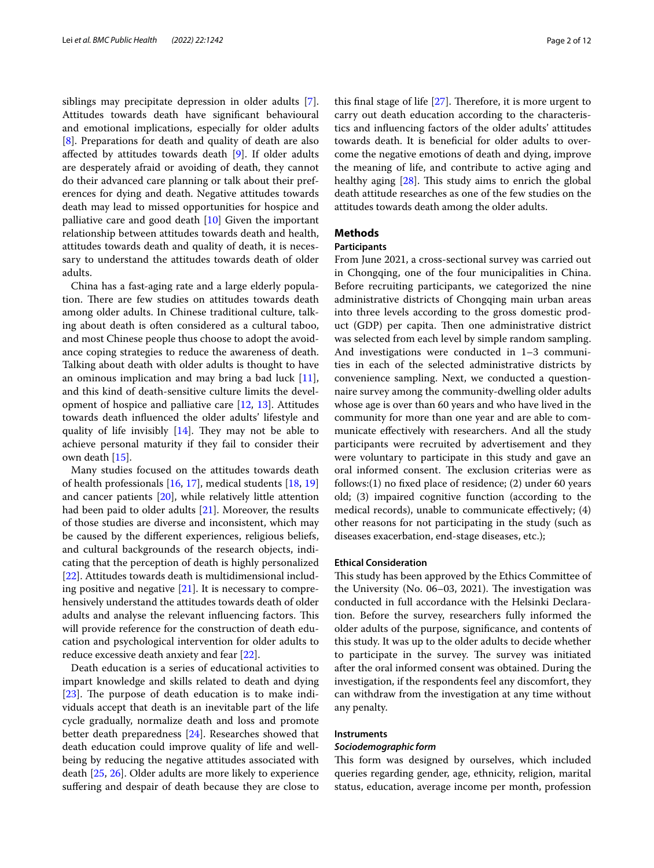siblings may precipitate depression in older adults [\[7](#page-10-6)]. Attitudes towards death have signifcant behavioural and emotional implications, especially for older adults [[8\]](#page-10-7). Preparations for death and quality of death are also afected by attitudes towards death [[9\]](#page-10-8). If older adults are desperately afraid or avoiding of death, they cannot do their advanced care planning or talk about their preferences for dying and death. Negative attitudes towards death may lead to missed opportunities for hospice and palliative care and good death [[10\]](#page-10-9) Given the important relationship between attitudes towards death and health, attitudes towards death and quality of death, it is necessary to understand the attitudes towards death of older adults.

China has a fast-aging rate and a large elderly population. There are few studies on attitudes towards death among older adults. In Chinese traditional culture, talking about death is often considered as a cultural taboo, and most Chinese people thus choose to adopt the avoidance coping strategies to reduce the awareness of death. Talking about death with older adults is thought to have an ominous implication and may bring a bad luck  $[11]$  $[11]$ , and this kind of death-sensitive culture limits the development of hospice and palliative care [[12,](#page-10-11) [13](#page-10-12)]. Attitudes towards death infuenced the older adults' lifestyle and quality of life invisibly  $[14]$  $[14]$ . They may not be able to achieve personal maturity if they fail to consider their own death [[15\]](#page-10-14).

Many studies focused on the attitudes towards death of health professionals [[16,](#page-11-0) [17](#page-11-1)], medical students [[18,](#page-11-2) [19](#page-11-3)] and cancer patients [[20\]](#page-11-4), while relatively little attention had been paid to older adults [\[21](#page-11-5)]. Moreover, the results of those studies are diverse and inconsistent, which may be caused by the diferent experiences, religious beliefs, and cultural backgrounds of the research objects, indicating that the perception of death is highly personalized [[22\]](#page-11-6). Attitudes towards death is multidimensional including positive and negative  $[21]$  $[21]$ . It is necessary to comprehensively understand the attitudes towards death of older adults and analyse the relevant influencing factors. This will provide reference for the construction of death education and psychological intervention for older adults to reduce excessive death anxiety and fear [[22\]](#page-11-6).

Death education is a series of educational activities to impart knowledge and skills related to death and dying [ $23$ ]. The purpose of death education is to make individuals accept that death is an inevitable part of the life cycle gradually, normalize death and loss and promote better death preparedness [\[24\]](#page-11-8). Researches showed that death education could improve quality of life and wellbeing by reducing the negative attitudes associated with death [\[25](#page-11-9), [26\]](#page-11-10). Older adults are more likely to experience sufering and despair of death because they are close to this final stage of life  $[27]$  $[27]$ . Therefore, it is more urgent to carry out death education according to the characteristics and infuencing factors of the older adults' attitudes towards death. It is benefcial for older adults to overcome the negative emotions of death and dying, improve the meaning of life, and contribute to active aging and healthy aging  $[28]$ . This study aims to enrich the global death attitude researches as one of the few studies on the attitudes towards death among the older adults.

# **Methods**

# **Participants**

From June 2021, a cross-sectional survey was carried out in Chongqing, one of the four municipalities in China. Before recruiting participants, we categorized the nine administrative districts of Chongqing main urban areas into three levels according to the gross domestic product (GDP) per capita. Then one administrative district was selected from each level by simple random sampling. And investigations were conducted in 1–3 communities in each of the selected administrative districts by convenience sampling. Next, we conducted a questionnaire survey among the community-dwelling older adults whose age is over than 60 years and who have lived in the community for more than one year and are able to communicate efectively with researchers. And all the study participants were recruited by advertisement and they were voluntary to participate in this study and gave an oral informed consent. The exclusion criterias were as follows:(1) no fxed place of residence; (2) under 60 years old; (3) impaired cognitive function (according to the medical records), unable to communicate efectively; (4) other reasons for not participating in the study (such as diseases exacerbation, end-stage diseases, etc.);

#### **Ethical Consideration**

This study has been approved by the Ethics Committee of the University (No. 06-03, 2021). The investigation was conducted in full accordance with the Helsinki Declaration. Before the survey, researchers fully informed the older adults of the purpose, signifcance, and contents of this study. It was up to the older adults to decide whether to participate in the survey. The survey was initiated after the oral informed consent was obtained. During the investigation, if the respondents feel any discomfort, they can withdraw from the investigation at any time without any penalty.

#### **Instruments**

#### *Sociodemographic form*

This form was designed by ourselves, which included queries regarding gender, age, ethnicity, religion, marital status, education, average income per month, profession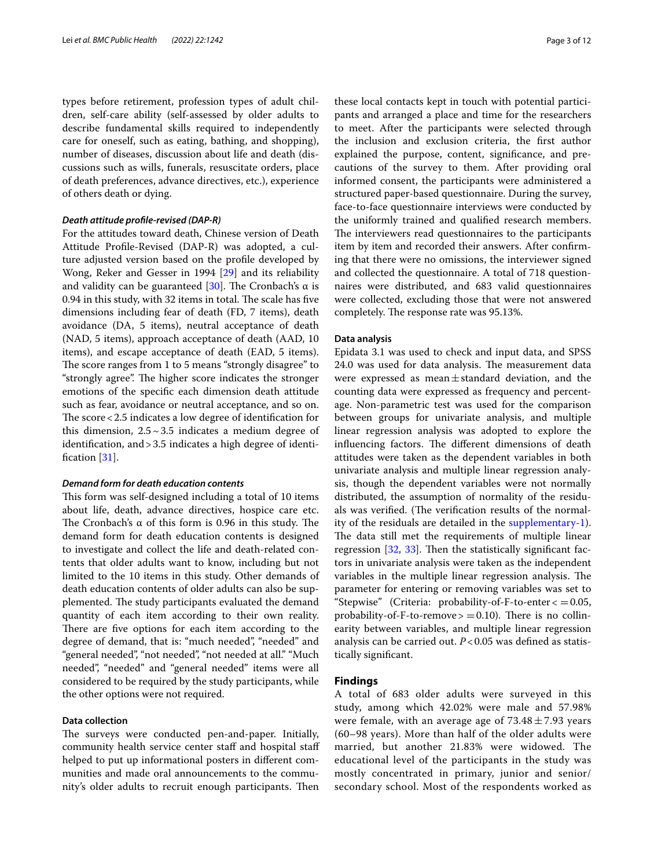types before retirement, profession types of adult children, self-care ability (self-assessed by older adults to describe fundamental skills required to independently care for oneself, such as eating, bathing, and shopping), number of diseases, discussion about life and death (discussions such as wills, funerals, resuscitate orders, place of death preferences, advance directives, etc.), experience of others death or dying.

# *Death attitude profle‑revised (DAP‑R)*

For the attitudes toward death, Chinese version of Death Attitude Profle-Revised (DAP-R) was adopted, a culture adjusted version based on the profle developed by Wong, Reker and Gesser in 1994 [\[29](#page-11-13)] and its reliability and validity can be guaranteed [\[30](#page-11-14)]. The Cronbach's  $\alpha$  is 0.94 in this study, with 32 items in total. The scale has five dimensions including fear of death (FD, 7 items), death avoidance (DA, 5 items), neutral acceptance of death (NAD, 5 items), approach acceptance of death (AAD, 10 items), and escape acceptance of death (EAD, 5 items). The score ranges from 1 to 5 means "strongly disagree" to "strongly agree". The higher score indicates the stronger emotions of the specifc each dimension death attitude such as fear, avoidance or neutral acceptance, and so on. The score  $<$  2.5 indicates a low degree of identification for this dimension,  $2.5 \sim 3.5$  indicates a medium degree of identifcation, and>3.5 indicates a high degree of identi-fication [[31\]](#page-11-15).

#### *Demand form for death education contents*

This form was self-designed including a total of 10 items about life, death, advance directives, hospice care etc. The Cronbach's  $\alpha$  of this form is 0.96 in this study. The demand form for death education contents is designed to investigate and collect the life and death-related contents that older adults want to know, including but not limited to the 10 items in this study. Other demands of death education contents of older adults can also be supplemented. The study participants evaluated the demand quantity of each item according to their own reality. There are five options for each item according to the degree of demand, that is: "much needed", "needed" and "general needed", "not needed", "not needed at all." "Much needed", "needed" and "general needed" items were all considered to be required by the study participants, while the other options were not required.

#### **Data collection**

The surveys were conducted pen-and-paper. Initially, community health service center staff and hospital staff helped to put up informational posters in different communities and made oral announcements to the community's older adults to recruit enough participants. Then

these local contacts kept in touch with potential participants and arranged a place and time for the researchers to meet. After the participants were selected through the inclusion and exclusion criteria, the frst author explained the purpose, content, signifcance, and precautions of the survey to them. After providing oral informed consent, the participants were administered a structured paper-based questionnaire. During the survey, face-to-face questionnaire interviews were conducted by the uniformly trained and qualifed research members. The interviewers read questionnaires to the participants item by item and recorded their answers. After confrming that there were no omissions, the interviewer signed and collected the questionnaire. A total of 718 questionnaires were distributed, and 683 valid questionnaires were collected, excluding those that were not answered completely. The response rate was 95.13%.

#### **Data analysis**

Epidata 3.1 was used to check and input data, and SPSS 24.0 was used for data analysis. The measurement data were expressed as mean $\pm$ standard deviation, and the counting data were expressed as frequency and percentage. Non-parametric test was used for the comparison between groups for univariate analysis, and multiple linear regression analysis was adopted to explore the influencing factors. The different dimensions of death attitudes were taken as the dependent variables in both univariate analysis and multiple linear regression analysis, though the dependent variables were not normally distributed, the assumption of normality of the residuals was verified. (The verification results of the normality of the residuals are detailed in the [supplementary-1](#page-10-15)). The data still met the requirements of multiple linear regression  $[32, 33]$  $[32, 33]$  $[32, 33]$ . Then the statistically significant factors in univariate analysis were taken as the independent variables in the multiple linear regression analysis. The parameter for entering or removing variables was set to "Stepwise" (Criteria: probability-of-F-to-enter $\langle =0.05,$ probability-of-F-to-remove  $> = 0.10$ ). There is no collinearity between variables, and multiple linear regression analysis can be carried out. *P*<0.05 was defned as statistically signifcant.

#### **Findings**

A total of 683 older adults were surveyed in this study, among which 42.02% were male and 57.98% were female, with an average age of  $73.48 \pm 7.93$  years (60–98 years). More than half of the older adults were married, but another 21.83% were widowed. The educational level of the participants in the study was mostly concentrated in primary, junior and senior/ secondary school. Most of the respondents worked as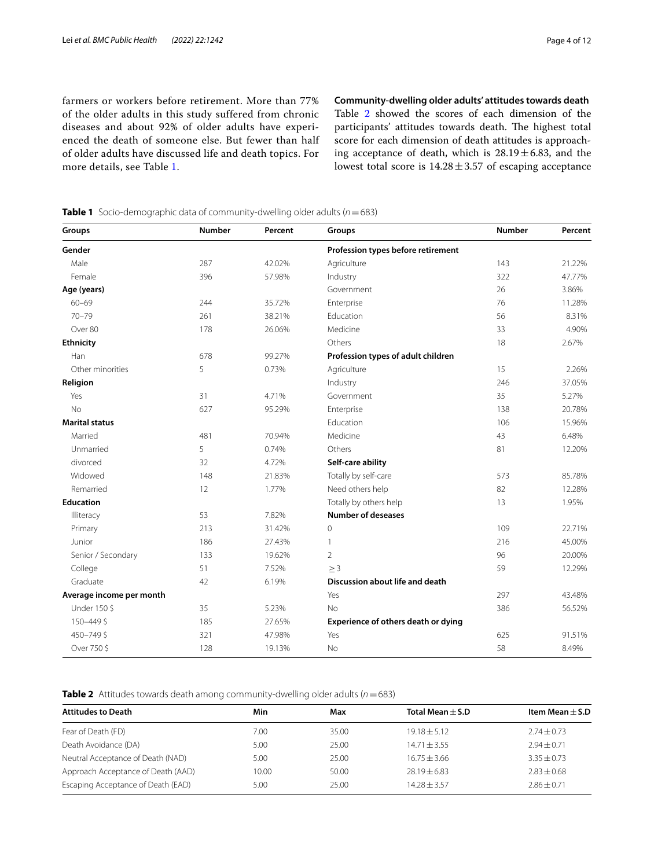farmers or workers before retirement. More than 77% of the older adults in this study suffered from chronic diseases and about 92% of older adults have experienced the death of someone else. But fewer than half of older adults have discussed life and death topics. For more details, see Table [1](#page-3-0).

**Community‑dwelling older adults' attitudes towards death** Table [2](#page-3-1) showed the scores of each dimension of the participants' attitudes towards death. The highest total score for each dimension of death attitudes is approaching acceptance of death, which is  $28.19 \pm 6.83$ , and the lowest total score is  $14.28 \pm 3.57$  of escaping acceptance

<span id="page-3-0"></span>**Table 1** Socio-demographic data of community-dwelling older adults (*n*=683)

| Groups                   | <b>Number</b> | Percent | Groups                              | Number | Percent |
|--------------------------|---------------|---------|-------------------------------------|--------|---------|
| Gender                   |               |         | Profession types before retirement  |        |         |
| Male                     | 287           | 42.02%  | Agriculture                         | 143    | 21.22%  |
| Female                   | 396           | 57.98%  | Industry                            | 322    | 47.77%  |
| Age (years)              |               |         | Government                          | 26     | 3.86%   |
| $60 - 69$                | 244           | 35.72%  | Enterprise                          | 76     | 11.28%  |
| $70 - 79$                | 261           | 38.21%  | Education                           | 56     | 8.31%   |
| Over 80                  | 178           | 26.06%  | Medicine                            | 33     | 4.90%   |
| <b>Ethnicity</b>         |               |         | Others                              | 18     | 2.67%   |
| Han                      | 678           | 99.27%  | Profession types of adult children  |        |         |
| Other minorities         | 5             | 0.73%   | Agriculture                         | 15     | 2.26%   |
| Religion                 |               |         | Industry                            | 246    | 37.05%  |
| Yes                      | 31            | 4.71%   | Government                          | 35     | 5.27%   |
| No                       | 627           | 95.29%  | Enterprise                          | 138    | 20.78%  |
| <b>Marital status</b>    |               |         | Education                           | 106    | 15.96%  |
| Married                  | 481           | 70.94%  | Medicine                            | 43     | 6.48%   |
| Unmarried                | 5             | 0.74%   | Others                              | 81     | 12.20%  |
| divorced                 | 32            | 4.72%   | Self-care ability                   |        |         |
| Widowed                  | 148           | 21.83%  | Totally by self-care                | 573    | 85.78%  |
| Remarried                | 12            | 1.77%   | Need others help                    | 82     | 12.28%  |
| <b>Education</b>         |               |         | Totally by others help              | 13     | 1.95%   |
| Illiteracy               | 53            | 7.82%   | <b>Number of deseases</b>           |        |         |
| Primary                  | 213           | 31.42%  | $\mathbf 0$                         | 109    | 22.71%  |
| Junior                   | 186           | 27.43%  | 1                                   | 216    | 45.00%  |
| Senior / Secondary       | 133           | 19.62%  | $\overline{2}$                      | 96     | 20.00%  |
| College                  | 51            | 7.52%   | $\geq$ 3                            | 59     | 12.29%  |
| Graduate                 | 42            | 6.19%   | Discussion about life and death     |        |         |
| Average income per month |               |         | Yes                                 | 297    | 43.48%  |
| Under 150 \$             | 35            | 5.23%   | <b>No</b>                           | 386    | 56.52%  |
| 150-449\$                | 185           | 27.65%  | Experience of others death or dying |        |         |
| 450-749\$                | 321           | 47.98%  | Yes                                 | 625    | 91.51%  |
| Over 750 \$              | 128           | 19.13%  | No                                  | 58     | 8.49%   |

<span id="page-3-1"></span>**Table 2** Attitudes towards death among community-dwelling older adults (*n*=683)

| <b>Attitudes to Death</b>          | Min   | Max   | Total Mean $\pm$ S.D | Item Mean $\pm$ S.D |
|------------------------------------|-------|-------|----------------------|---------------------|
| Fear of Death (FD)                 | 7.00  | 35.00 | $19.18 \pm 5.12$     | $2.74 \pm 0.73$     |
| Death Avoidance (DA)               | 5.00  | 25.00 | $14.71 + 3.55$       | $2.94 \pm 0.71$     |
| Neutral Acceptance of Death (NAD)  | 5.00  | 25.00 | $16.75 + 3.66$       | $3.35 + 0.73$       |
| Approach Acceptance of Death (AAD) | 10.00 | 50.00 | $28.19 + 6.83$       | $2.83 + 0.68$       |
| Escaping Acceptance of Death (EAD) | 5.00  | 25.00 | $14.28 + 3.57$       | $2.86 \pm 0.71$     |
|                                    |       |       |                      |                     |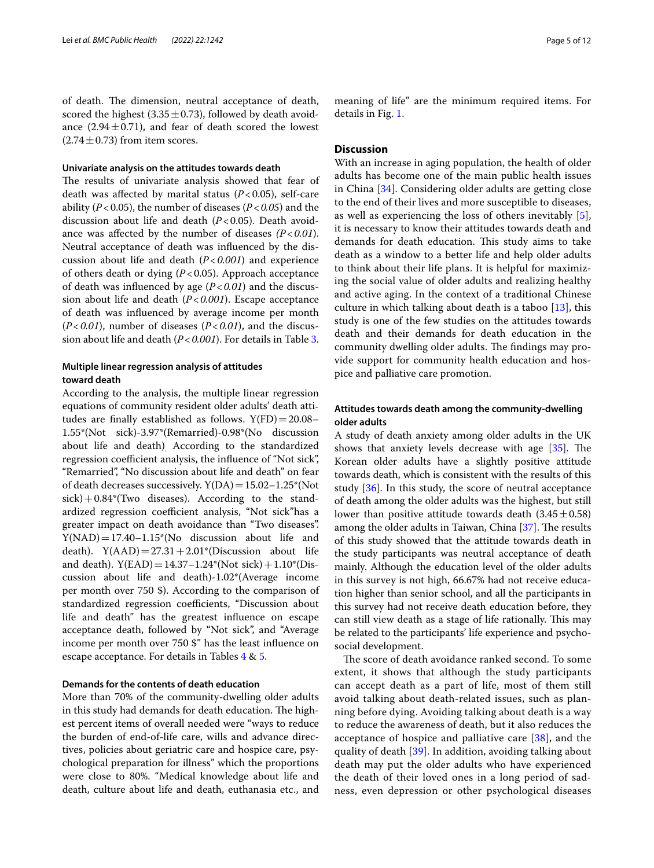of death. The dimension, neutral acceptance of death, scored the highest  $(3.35 \pm 0.73)$ , followed by death avoidance  $(2.94 \pm 0.71)$ , and fear of death scored the lowest  $(2.74 \pm 0.73)$  from item scores.

#### **Univariate analysis on the attitudes towards death**

The results of univariate analysis showed that fear of death was afected by marital status (*P*<0.05), self-care ability (*P*<0.05), the number of diseases (*P*<*0.05*) and the discussion about life and death  $(P<0.05)$ . Death avoidance was afected by the number of diseases *(P*<*0.01*). Neutral acceptance of death was infuenced by the discussion about life and death (*P*<*0.001*) and experience of others death or dying (*P*<0.05). Approach acceptance of death was infuenced by age (*P*<*0.01*) and the discussion about life and death (*P*<*0.001*). Escape acceptance of death was infuenced by average income per month (*P*<*0.01*), number of diseases (*P*<*0.01*), and the discussion about life and death (*P*<*0.001*). For details in Table [3](#page-5-0).

# **Multiple linear regression analysis of attitudes toward death**

According to the analysis, the multiple linear regression equations of community resident older adults' death attitudes are finally established as follows.  $Y(FD) = 20.08$ – 1.55\*(Not sick)-3.97\*(Remarried)-0.98\*(No discussion about life and death)<sub>.</sub> According to the standardized regression coefficient analysis, the influence of "Not sick", "Remarried", "No discussion about life and death" on fear of death decreases successively.  $Y(DA)=15.02-1.25*(Not)$  $sick$ )+0.84\*(Two diseases). According to the standardized regression coefficient analysis, "Not sick"has a greater impact on death avoidance than "Two diseases".  $Y(NAD) = 17.40 - 1.15*(No)$  discussion about life and death).  $Y(AAD) = 27.31 + 2.01*(Discussion about life)$ and death).  $Y(EAD) = 14.37 - 1.24*(Not sick) + 1.10*(Dis$ cussion about life and death)-1.02\*(Average income per month over 750 \$). According to the comparison of standardized regression coefficients, "Discussion about life and death" has the greatest infuence on escape acceptance death, followed by "Not sick", and "Average income per month over 750 \$" has the least infuence on escape acceptance. For details in Tables [4](#page-7-0) & [5](#page-7-1).

#### **Demands for the contents of death education**

More than 70% of the community-dwelling older adults in this study had demands for death education. The highest percent items of overall needed were "ways to reduce the burden of end-of-life care, wills and advance directives, policies about geriatric care and hospice care, psychological preparation for illness" which the proportions were close to 80%. "Medical knowledge about life and death, culture about life and death, euthanasia etc., and meaning of life" are the minimum required items. For details in Fig. [1](#page-7-2).

## **Discussion**

With an increase in aging population, the health of older adults has become one of the main public health issues in China [[34\]](#page-11-18). Considering older adults are getting close to the end of their lives and more susceptible to diseases, as well as experiencing the loss of others inevitably [\[5](#page-10-4)], it is necessary to know their attitudes towards death and demands for death education. This study aims to take death as a window to a better life and help older adults to think about their life plans. It is helpful for maximizing the social value of older adults and realizing healthy and active aging. In the context of a traditional Chinese culture in which talking about death is a taboo [\[13](#page-10-12)], this study is one of the few studies on the attitudes towards death and their demands for death education in the community dwelling older adults. The findings may provide support for community health education and hospice and palliative care promotion.

# **Attitudes towards death among the community‑dwelling older adults**

A study of death anxiety among older adults in the UK shows that anxiety levels decrease with age  $[35]$ . The Korean older adults have a slightly positive attitude towards death, which is consistent with the results of this study [\[36](#page-11-20)]. In this study, the score of neutral acceptance of death among the older adults was the highest, but still lower than positive attitude towards death  $(3.45 \pm 0.58)$ among the older adults in Taiwan, China [\[37\]](#page-11-21). The results of this study showed that the attitude towards death in the study participants was neutral acceptance of death mainly. Although the education level of the older adults in this survey is not high, 66.67% had not receive education higher than senior school, and all the participants in this survey had not receive death education before, they can still view death as a stage of life rationally. This may be related to the participants' life experience and psychosocial development.

The score of death avoidance ranked second. To some extent, it shows that although the study participants can accept death as a part of life, most of them still avoid talking about death-related issues, such as planning before dying. Avoiding talking about death is a way to reduce the awareness of death, but it also reduces the acceptance of hospice and palliative care  $[38]$  $[38]$  $[38]$ , and the quality of death [[39\]](#page-11-23). In addition, avoiding talking about death may put the older adults who have experienced the death of their loved ones in a long period of sadness, even depression or other psychological diseases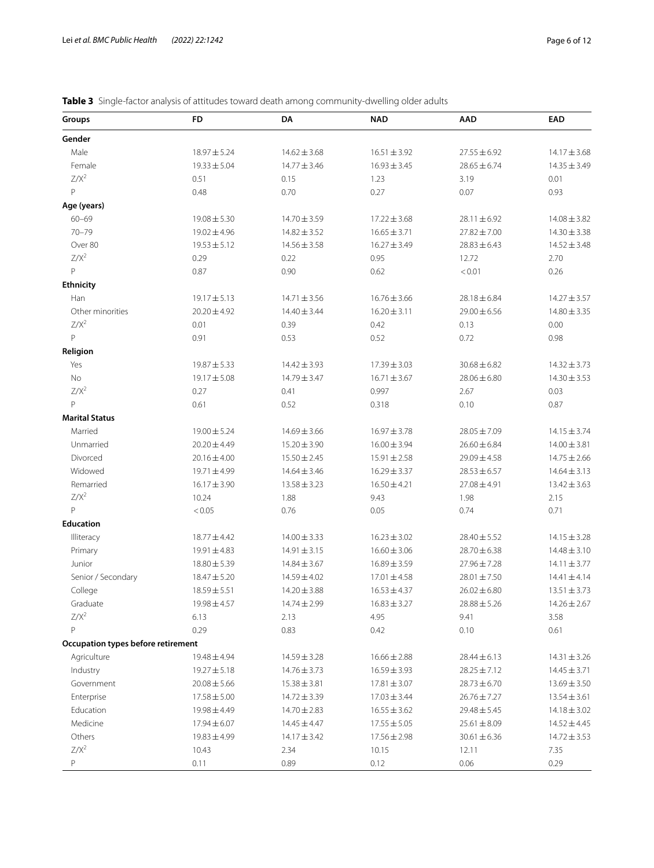<span id="page-5-0"></span>

| Table 3 Single-factor analysis of attitudes toward death among community-dwelling older adults |  |
|------------------------------------------------------------------------------------------------|--|
|------------------------------------------------------------------------------------------------|--|

| Groups                             | FD               | DA               | <b>NAD</b>       | <b>AAD</b>       | <b>EAD</b>       |
|------------------------------------|------------------|------------------|------------------|------------------|------------------|
| Gender                             |                  |                  |                  |                  |                  |
| Male                               | $18.97 \pm 5.24$ | $14.62 \pm 3.68$ | $16.51 \pm 3.92$ | $27.55 \pm 6.92$ | $14.17 \pm 3.68$ |
| Female                             | $19.33 \pm 5.04$ | $14.77 \pm 3.46$ | $16.93 \pm 3.45$ | $28.65 \pm 6.74$ | $14.35 \pm 3.49$ |
| $Z/X^2$                            | 0.51             | 0.15             | 1.23             | 3.19             | 0.01             |
| P                                  | 0.48             | 0.70             | 0.27             | 0.07             | 0.93             |
| Age (years)                        |                  |                  |                  |                  |                  |
| $60 - 69$                          | $19.08 \pm 5.30$ | 14.70 ± 3.59     | $17.22 \pm 3.68$ | $28.11 \pm 6.92$ | $14.08 \pm 3.82$ |
| $70 - 79$                          | $19.02 \pm 4.96$ | $14.82 \pm 3.52$ | $16.65 \pm 3.71$ | $27.82 \pm 7.00$ | $14.30 \pm 3.38$ |
| Over 80                            | $19.53 \pm 5.12$ | $14.56 \pm 3.58$ | $16.27 \pm 3.49$ | $28.83 \pm 6.43$ | $14.52 \pm 3.48$ |
| $Z/X^2$                            | 0.29             | 0.22             | 0.95             | 12.72            | 2.70             |
| P                                  | 0.87             | 0.90             | 0.62             | < 0.01           | 0.26             |
| Ethnicity                          |                  |                  |                  |                  |                  |
| Han                                | $19.17 \pm 5.13$ | $14.71 \pm 3.56$ | $16.76 \pm 3.66$ | $28.18 \pm 6.84$ | $14.27 \pm 3.57$ |
| Other minorities                   | $20.20 \pm 4.92$ | $14.40 \pm 3.44$ | $16.20 \pm 3.11$ | $29.00 \pm 6.56$ | $14.80 \pm 3.35$ |
| $Z/X^2$                            | 0.01             | 0.39             | 0.42             | 0.13             | 0.00             |
| P                                  | 0.91             | 0.53             | 0.52             | 0.72             | 0.98             |
| Religion                           |                  |                  |                  |                  |                  |
| Yes                                | $19.87 \pm 5.33$ | $14.42 \pm 3.93$ | $17.39 \pm 3.03$ | $30.68 \pm 6.82$ | $14.32 \pm 3.73$ |
| No                                 | 19.17 ± 5.08     | 14.79 ± 3.47     | $16.71 \pm 3.67$ | $28.06 \pm 6.80$ | $14.30 \pm 3.53$ |
| $Z/X^2$                            | 0.27             | 0.41             | 0.997            | 2.67             | 0.03             |
| P                                  | 0.61             | 0.52             | 0.318            | 0.10             | 0.87             |
|                                    |                  |                  |                  |                  |                  |
| <b>Marital Status</b>              |                  |                  |                  |                  |                  |
| Married                            | $19.00 \pm 5.24$ | $14.69 \pm 3.66$ | $16.97 \pm 3.78$ | $28.05 \pm 7.09$ | $14.15 \pm 3.74$ |
| Unmarried                          | $20.20 \pm 4.49$ | $15.20 \pm 3.90$ | $16.00 \pm 3.94$ | $26.60 \pm 6.84$ | $14.00 \pm 3.81$ |
| Divorced                           | $20.16 \pm 4.00$ | $15.50 \pm 2.45$ | $15.91 \pm 2.58$ | $29.09 \pm 4.58$ | $14.75 \pm 2.66$ |
| Widowed                            | 19.71±4.99       | $14.64 \pm 3.46$ | $16.29 \pm 3.37$ | $28.53 \pm 6.57$ | $14.64 \pm 3.13$ |
| Remarried                          | $16.17 \pm 3.90$ | $13.58 \pm 3.23$ | $16.50 \pm 4.21$ | $27.08 \pm 4.91$ | $13.42 \pm 3.63$ |
| $Z/X^2$                            | 10.24            | 1.88             | 9.43             | 1.98             | 2.15             |
| P                                  | < 0.05           | 0.76             | 0.05             | 0.74             | 0.71             |
| Education                          |                  |                  |                  |                  |                  |
| Illiteracy                         | $18.77 \pm 4.42$ | $14.00 \pm 3.33$ | $16.23 \pm 3.02$ | $28.40 \pm 5.52$ | $14.15 \pm 3.28$ |
| Primary                            | $19.91 \pm 4.83$ | $14.91 \pm 3.15$ | $16.60 \pm 3.06$ | 28.70 ± 6.38     | $14.48 \pm 3.10$ |
| Junior                             | $18.80 \pm 5.39$ | $14.84 \pm 3.67$ | $16.89 \pm 3.59$ | $27.96 \pm 7.28$ | $14.11 \pm 3.77$ |
| Senior / Secondary                 | $18.47 \pm 5.20$ | $14.59 \pm 4.02$ | $17.01 \pm 4.58$ | $28.01 \pm 7.50$ | $14.41 \pm 4.14$ |
| College                            | $18.59 \pm 5.51$ | $14.20 \pm 3.88$ | $16.53 \pm 4.37$ | $26.02 \pm 6.80$ | $13.51 \pm 3.73$ |
| Graduate                           | $19.98 \pm 4.57$ | $14.74 \pm 2.99$ | $16.83 \pm 3.27$ | $28.88 \pm 5.26$ | $14.26 \pm 2.67$ |
| $Z/X^2$                            | 6.13             | 2.13             | 4.95             | 9.41             | 3.58             |
| P                                  | 0.29             | 0.83             | 0.42             | 0.10             | 0.61             |
| Occupation types before retirement |                  |                  |                  |                  |                  |
| Agriculture                        | $19.48 \pm 4.94$ | $14.59 \pm 3.28$ | $16.66 \pm 2.88$ | $28.44 \pm 6.13$ | $14.31 \pm 3.26$ |
| Industry                           | $19.27 \pm 5.18$ | $14.76 \pm 3.73$ | $16.59 \pm 3.93$ | $28.25 \pm 7.12$ | $14.45 \pm 3.71$ |
| Government                         | $20.08 \pm 5.66$ | $15.38 \pm 3.81$ | $17.81 \pm 3.07$ | $28.73 \pm 6.70$ | $13.69 \pm 3.50$ |
| Enterprise                         | $17.58 \pm 5.00$ | $14.72 \pm 3.39$ | $17.03 \pm 3.44$ | $26.76 \pm 7.27$ | $13.54 \pm 3.61$ |
| Education                          | $19.98 \pm 4.49$ | 14.70 ± 2.83     | $16.55 \pm 3.62$ | $29.48 \pm 5.45$ | $14.18 \pm 3.02$ |
| Medicine                           | $17.94 \pm 6.07$ | $14.45 \pm 4.47$ | $17.55 \pm 5.05$ | $25.61 \pm 8.09$ | $14.52 \pm 4.45$ |
| Others                             | $19.83 \pm 4.99$ | $14.17 \pm 3.42$ | $17.56 \pm 2.98$ | $30.61 \pm 6.36$ | $14.72 \pm 3.53$ |
| $Z/X^2$                            | 10.43            | 2.34             | 10.15            | 12.11            | 7.35             |
| Ρ                                  | 0.11             | 0.89             | 0.12             | 0.06             | 0.29             |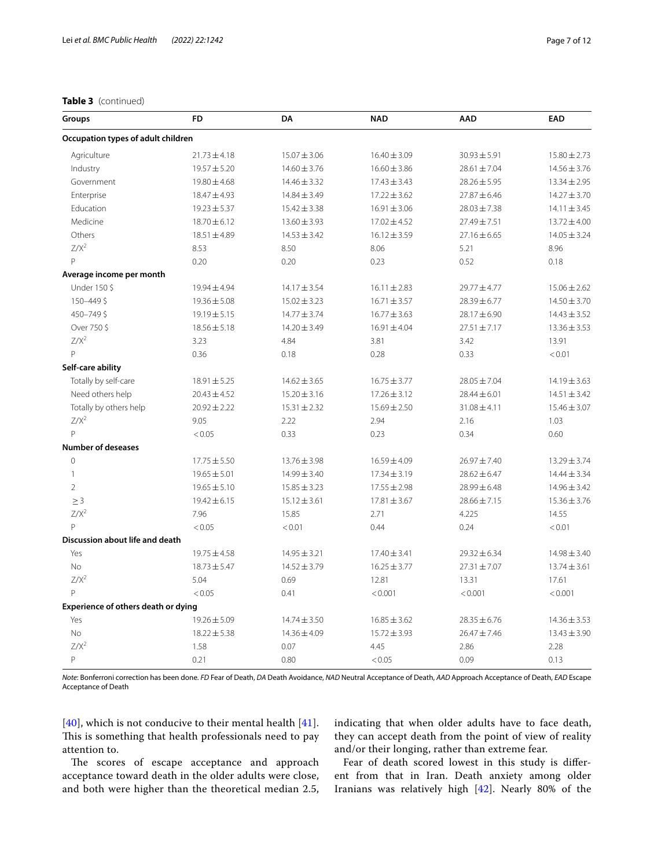### **Table 3** (continued)

| Groups                              | <b>FD</b>        | DA               | <b>NAD</b>       | <b>AAD</b>       | <b>EAD</b>       |  |
|-------------------------------------|------------------|------------------|------------------|------------------|------------------|--|
| Occupation types of adult children  |                  |                  |                  |                  |                  |  |
| Agriculture                         | $21.73 \pm 4.18$ | $15.07 \pm 3.06$ | $16.40 \pm 3.09$ | $30.93 \pm 5.91$ | $15.80 \pm 2.73$ |  |
| Industry                            | $19.57 \pm 5.20$ | $14.60 \pm 3.76$ | $16.60 \pm 3.86$ | $28.61 \pm 7.04$ | $14.56 \pm 3.76$ |  |
| Government                          | $19.80 \pm 4.68$ | $14.46 \pm 3.32$ | $17.43 \pm 3.43$ | $28.26 \pm 5.95$ | $13.34 \pm 2.95$ |  |
| Enterprise                          | 18.47±4.93       | $14.84 \pm 3.49$ | $17.22 \pm 3.62$ | $27.87 \pm 6.46$ | $14.27 \pm 3.70$ |  |
| Education                           | $19.23 \pm 5.37$ | $15.42 \pm 3.38$ | $16.91 \pm 3.06$ | $28.03 \pm 7.38$ | $14.11 \pm 3.45$ |  |
| Medicine                            | $18.70 \pm 6.12$ | $13.60 \pm 3.93$ | $17.02 \pm 4.52$ | $27.49 \pm 7.51$ | $13.72 \pm 4.00$ |  |
| Others                              | $18.51 \pm 4.89$ | $14.53 \pm 3.42$ | $16.12 \pm 3.59$ | $27.16 \pm 6.65$ | $14.05 \pm 3.24$ |  |
| $Z/X^2$                             | 8.53             | 8.50             | 8.06             | 5.21             | 8.96             |  |
| $\mathsf{P}$                        | 0.20             | 0.20             | 0.23             | 0.52             | 0.18             |  |
| Average income per month            |                  |                  |                  |                  |                  |  |
| Under 150 \$                        | $19.94 \pm 4.94$ | $14.17 \pm 3.54$ | $16.11 \pm 2.83$ | 29.77 ± 4.77     | $15.06 \pm 2.62$ |  |
| 150-449\$                           | $19.36 \pm 5.08$ | $15.02 \pm 3.23$ | $16.71 \pm 3.57$ | $28.39 \pm 6.77$ | $14.50 \pm 3.70$ |  |
| 450-749\$                           | 19.19±5.15       | $14.77 \pm 3.74$ | $16.77 \pm 3.63$ | 28.17±6.90       | $14.43 \pm 3.52$ |  |
| Over 750\$                          | $18.56 \pm 5.18$ | $14.20 \pm 3.49$ | $16.91 \pm 4.04$ | $27.51 \pm 7.17$ | $13.36 \pm 3.53$ |  |
| $Z/X^2$                             | 3.23             | 4.84             | 3.81             | 3.42             | 13.91            |  |
| $\mathsf{P}$                        | 0.36             | 0.18             | 0.28             | 0.33             | < 0.01           |  |
| Self-care ability                   |                  |                  |                  |                  |                  |  |
| Totally by self-care                | $18.91 \pm 5.25$ | $14.62 \pm 3.65$ | $16.75 \pm 3.77$ | $28.05 \pm 7.04$ | $14.19 \pm 3.63$ |  |
| Need others help                    | $20.43 \pm 4.52$ | $15.20 \pm 3.16$ | $17.26 \pm 3.12$ | $28.44 \pm 6.01$ | $14.51 \pm 3.42$ |  |
| Totally by others help              | $20.92 \pm 2.22$ | $15.31 \pm 2.32$ | $15.69 \pm 2.50$ | $31.08 \pm 4.11$ | $15.46 \pm 3.07$ |  |
| $Z/X^2$                             | 9.05             | 2.22             | 2.94             | 2.16             | 1.03             |  |
| $\mathsf{P}$                        | < 0.05           | 0.33             | 0.23             | 0.34             | 0.60             |  |
| <b>Number of deseases</b>           |                  |                  |                  |                  |                  |  |
| $\Omega$                            | $17.75 \pm 5.50$ | $13.76 \pm 3.98$ | 16.59±4.09       | 26.97±7.40       | $13.29 \pm 3.74$ |  |
| $\mathbf{1}$                        | $19.65 \pm 5.01$ | 14.99 ± 3.40     | $17.34 \pm 3.19$ | $28.62 \pm 6.47$ | $14.44 \pm 3.34$ |  |
| $\overline{2}$                      | $19.65 \pm 5.10$ | $15.85 \pm 3.23$ | $17.55 \pm 2.98$ | $28.99 \pm 6.48$ | $14.96 \pm 3.42$ |  |
| $\geq$ 3                            | $19.42 \pm 6.15$ | $15.12 \pm 3.61$ | $17.81 \pm 3.67$ | $28.66 \pm 7.15$ | $15.36 \pm 3.76$ |  |
| $Z/X^2$                             | 7.96             | 15.85            | 2.71             | 4.225            | 14.55            |  |
| $\mathsf{P}$                        | < 0.05           | < 0.01           | 0.44             | 0.24             | < 0.01           |  |
| Discussion about life and death     |                  |                  |                  |                  |                  |  |
| Yes                                 | $19.75 \pm 4.58$ | $14.95 \pm 3.21$ | $17.40 \pm 3.41$ | $29.32 \pm 6.34$ | $14.98 \pm 3.40$ |  |
| No                                  | $18.73 \pm 5.47$ | $14.52 \pm 3.79$ | $16.25 \pm 3.77$ | $27.31 \pm 7.07$ | $13.74 \pm 3.61$ |  |
| $Z/X^2$                             | 5.04             | 0.69             | 12.81            | 13.31            | 17.61            |  |
| $\mathsf{P}$                        | < 0.05           | 0.41             | < 0.001          | < 0.001          | < 0.001          |  |
| Experience of others death or dying |                  |                  |                  |                  |                  |  |
| Yes                                 | $19.26 \pm 5.09$ | $14.74 \pm 3.50$ | $16.85 \pm 3.62$ | $28.35 \pm 6.76$ | $14.36 \pm 3.53$ |  |
| <b>No</b>                           | $18.22 \pm 5.38$ | 14.36 ± 4.09     | $15.72 \pm 3.93$ | $26.47 \pm 7.46$ | $13.43 \pm 3.90$ |  |
| $Z/X^2$                             | 1.58             | 0.07             | 4.45             | 2.86             | 2.28             |  |
| P                                   | 0.21             | 0.80             | < 0.05           | 0.09             | 0.13             |  |

*Note*: Bonferroni correction has been done. *FD* Fear of Death, *DA* Death Avoidance, *NAD* Neutral Acceptance of Death, *AAD* Approach Acceptance of Death, *EAD* Escape Acceptance of Death

[[40](#page-11-24)], which is not conducive to their mental health  $[41]$  $[41]$  $[41]$ . This is something that health professionals need to pay attention to.

they can accept death from the point of view of reality and/or their longing, rather than extreme fear.

The scores of escape acceptance and approach acceptance toward death in the older adults were close, and both were higher than the theoretical median 2.5,

Fear of death scored lowest in this study is diferent from that in Iran. Death anxiety among older Iranians was relatively high [\[42\]](#page-11-26). Nearly 80% of the

indicating that when older adults have to face death,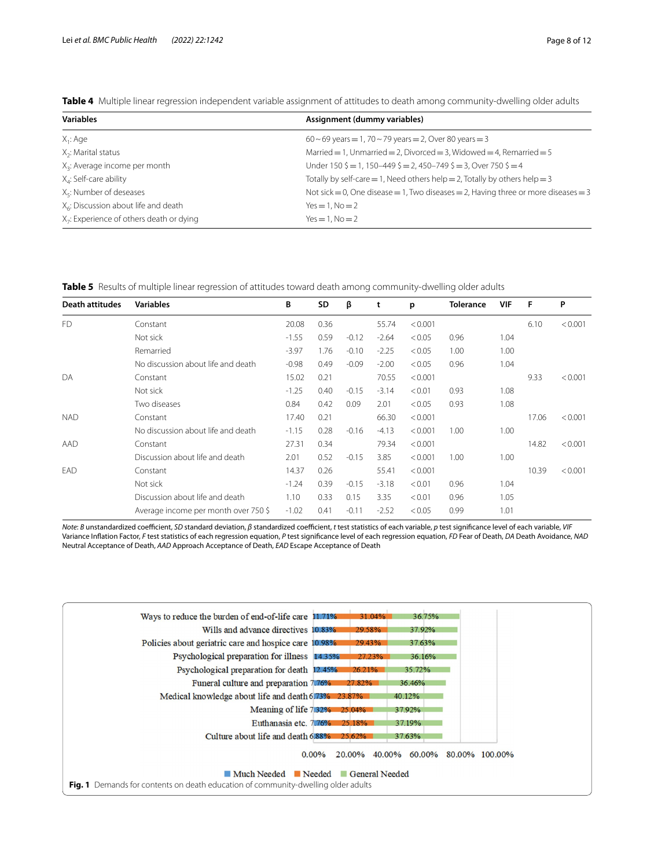<span id="page-7-0"></span>**Table 4** Multiple linear regression independent variable assignment of attitudes to death among community-dwelling older adults

| <b>Variables</b>                                     | Assignment (dummy variables)                                                             |
|------------------------------------------------------|------------------------------------------------------------------------------------------|
| $X_1$ : Age                                          | $60 - 69$ years = 1, 70 ~ 79 years = 2, Over 80 years = 3                                |
| $X_2$ : Marital status                               | Married $= 1$ , Unmarried $= 2$ , Divorced $= 3$ , Widowed $= 4$ , Remarried $= 5$       |
| $X_3$ : Average income per month                     | Under 150 $\zeta = 1$ , 150-449 $\zeta = 2$ , 450-749 $\zeta = 3$ , Over 750 $\zeta = 4$ |
| $X_4$ : Self-care ability                            | Totally by self-care = 1, Need others help = 2, Totally by others help = 3               |
| $X_{\epsilon}$ : Number of deseases                  | Not sick = 0, One disease = 1, Two diseases = 2, Having three or more diseases = $3$     |
| $X_6$ : Discussion about life and death              | $Yes = 1, No = 2$                                                                        |
| X <sub>7</sub> : Experience of others death or dying | $Yes = 1. No = 2$                                                                        |

<span id="page-7-1"></span>**Table 5** Results of multiple linear regression of attitudes toward death among community-dwelling older adults

| <b>Death attitudes</b> | <b>Variables</b>                     | В       | SD   | β       | t       | p       | <b>Tolerance</b> | VIF  | F     | P       |
|------------------------|--------------------------------------|---------|------|---------|---------|---------|------------------|------|-------|---------|
| F <sub>D</sub>         | Constant                             | 20.08   | 0.36 |         | 55.74   | < 0.001 |                  |      | 6.10  | < 0.001 |
|                        | Not sick                             | $-1.55$ | 0.59 | $-0.12$ | $-2.64$ | < 0.05  | 0.96             | 1.04 |       |         |
|                        | Remarried                            | $-3.97$ | 1.76 | $-0.10$ | $-2.25$ | < 0.05  | 1.00             | 1.00 |       |         |
|                        | No discussion about life and death   | $-0.98$ | 0.49 | $-0.09$ | $-2.00$ | < 0.05  | 0.96             | 1.04 |       |         |
| DA                     | Constant                             | 15.02   | 0.21 |         | 70.55   | < 0.001 |                  |      | 9.33  | < 0.001 |
|                        | Not sick                             | $-1.25$ | 0.40 | $-0.15$ | $-3.14$ | < 0.01  | 0.93             | 1.08 |       |         |
|                        | Two diseases                         | 0.84    | 0.42 | 0.09    | 2.01    | < 0.05  | 0.93             | 1.08 |       |         |
| <b>NAD</b>             | Constant                             | 17.40   | 0.21 |         | 66.30   | < 0.001 |                  |      | 17.06 | < 0.001 |
|                        | No discussion about life and death   | $-1.15$ | 0.28 | $-0.16$ | $-4.13$ | < 0.001 | 1.00             | 1.00 |       |         |
| AAD                    | Constant                             | 27.31   | 0.34 |         | 79.34   | < 0.001 |                  |      | 14.82 | < 0.001 |
|                        | Discussion about life and death      | 2.01    | 0.52 | $-0.15$ | 3.85    | < 0.001 | 1.00             | 1.00 |       |         |
| EAD                    | Constant                             | 14.37   | 0.26 |         | 55.41   | < 0.001 |                  |      | 10.39 | < 0.001 |
|                        | Not sick                             | $-1.24$ | 0.39 | $-0.15$ | $-3.18$ | < 0.01  | 0.96             | 1.04 |       |         |
|                        | Discussion about life and death      | 1.10    | 0.33 | 0.15    | 3.35    | < 0.01  | 0.96             | 1.05 |       |         |
|                        | Average income per month over 750 \$ | $-1.02$ | 0.41 | $-0.11$ | $-2.52$ | < 0.05  | 0.99             | 1.01 |       |         |

*Note*: *B* unstandardized coefficient, *SD* standard deviation, *β* standardized coefficient, *t* test statistics of each variable, *p* test significance level of each variable, *VIF* Variance Infation Factor, *F* test statistics of each regression equation, *P* test signifcance level of each regression equation, *FD* Fear of Death, *DA* Death Avoidance, *NAD* Neutral Acceptance of Death, *AAD* Approach Acceptance of Death, *EAD* Escape Acceptance of Death

<span id="page-7-2"></span>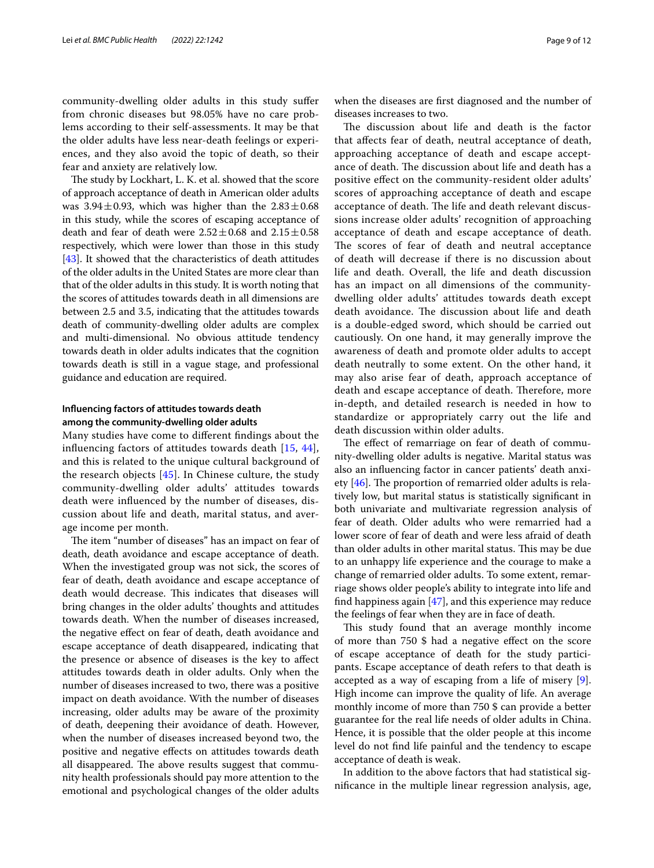community-dwelling older adults in this study sufer from chronic diseases but 98.05% have no care problems according to their self-assessments. It may be that the older adults have less near-death feelings or experiences, and they also avoid the topic of death, so their fear and anxiety are relatively low.

The study by Lockhart, L. K. et al. showed that the score of approach acceptance of death in American older adults was  $3.94 \pm 0.93$ , which was higher than the  $2.83 \pm 0.68$ in this study, while the scores of escaping acceptance of death and fear of death were  $2.52 \pm 0.68$  and  $2.15 \pm 0.58$ respectively, which were lower than those in this study [[43\]](#page-11-27). It showed that the characteristics of death attitudes of the older adults in the United States are more clear than that of the older adults in this study. It is worth noting that the scores of attitudes towards death in all dimensions are between 2.5 and 3.5, indicating that the attitudes towards death of community-dwelling older adults are complex and multi-dimensional. No obvious attitude tendency towards death in older adults indicates that the cognition towards death is still in a vague stage, and professional guidance and education are required.

# **Infuencing factors of attitudes towards death among the community‑dwelling older adults**

Many studies have come to diferent fndings about the infuencing factors of attitudes towards death [[15](#page-10-14), [44\]](#page-11-28), and this is related to the unique cultural background of the research objects  $[45]$  $[45]$ . In Chinese culture, the study community-dwelling older adults' attitudes towards death were infuenced by the number of diseases, discussion about life and death, marital status, and average income per month.

The item "number of diseases" has an impact on fear of death, death avoidance and escape acceptance of death. When the investigated group was not sick, the scores of fear of death, death avoidance and escape acceptance of death would decrease. This indicates that diseases will bring changes in the older adults' thoughts and attitudes towards death. When the number of diseases increased, the negative efect on fear of death, death avoidance and escape acceptance of death disappeared, indicating that the presence or absence of diseases is the key to afect attitudes towards death in older adults. Only when the number of diseases increased to two, there was a positive impact on death avoidance. With the number of diseases increasing, older adults may be aware of the proximity of death, deepening their avoidance of death. However, when the number of diseases increased beyond two, the positive and negative efects on attitudes towards death all disappeared. The above results suggest that community health professionals should pay more attention to the emotional and psychological changes of the older adults when the diseases are frst diagnosed and the number of diseases increases to two.

The discussion about life and death is the factor that afects fear of death, neutral acceptance of death, approaching acceptance of death and escape acceptance of death. The discussion about life and death has a positive efect on the community-resident older adults' scores of approaching acceptance of death and escape acceptance of death. The life and death relevant discussions increase older adults' recognition of approaching acceptance of death and escape acceptance of death. The scores of fear of death and neutral acceptance of death will decrease if there is no discussion about life and death. Overall, the life and death discussion has an impact on all dimensions of the communitydwelling older adults' attitudes towards death except death avoidance. The discussion about life and death is a double-edged sword, which should be carried out cautiously. On one hand, it may generally improve the awareness of death and promote older adults to accept death neutrally to some extent. On the other hand, it may also arise fear of death, approach acceptance of death and escape acceptance of death. Therefore, more in-depth, and detailed research is needed in how to standardize or appropriately carry out the life and death discussion within older adults.

The effect of remarriage on fear of death of community-dwelling older adults is negative. Marital status was also an infuencing factor in cancer patients' death anxiety  $[46]$  $[46]$ . The proportion of remarried older adults is relatively low, but marital status is statistically signifcant in both univariate and multivariate regression analysis of fear of death. Older adults who were remarried had a lower score of fear of death and were less afraid of death than older adults in other marital status. This may be due to an unhappy life experience and the courage to make a change of remarried older adults. To some extent, remarriage shows older people's ability to integrate into life and find happiness again  $[47]$ , and this experience may reduce the feelings of fear when they are in face of death.

This study found that an average monthly income of more than 750 \$ had a negative efect on the score of escape acceptance of death for the study participants. Escape acceptance of death refers to that death is accepted as a way of escaping from a life of misery [\[9](#page-10-8)]. High income can improve the quality of life. An average monthly income of more than 750 \$ can provide a better guarantee for the real life needs of older adults in China. Hence, it is possible that the older people at this income level do not fnd life painful and the tendency to escape acceptance of death is weak.

In addition to the above factors that had statistical signifcance in the multiple linear regression analysis, age,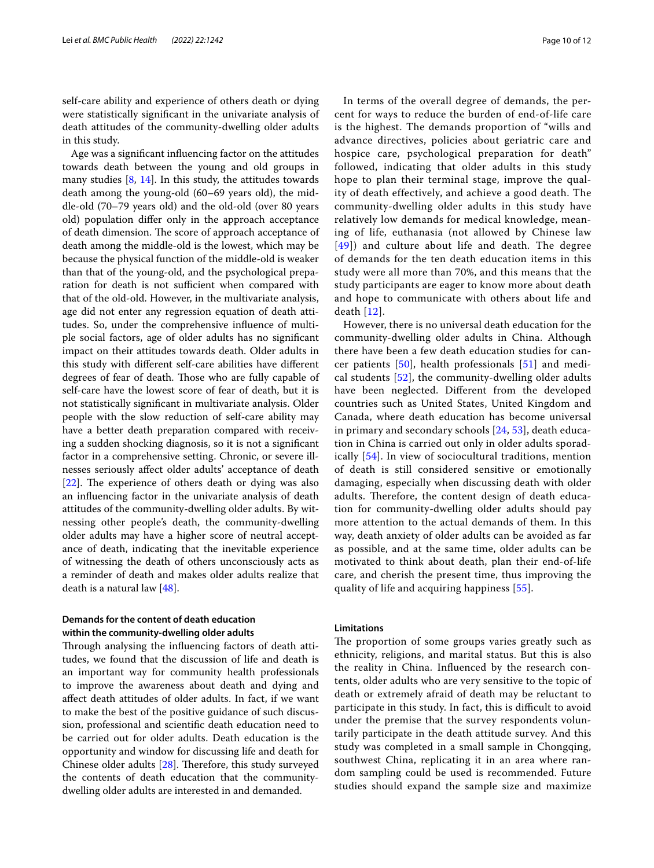self-care ability and experience of others death or dying were statistically signifcant in the univariate analysis of death attitudes of the community-dwelling older adults in this study.

Age was a signifcant infuencing factor on the attitudes towards death between the young and old groups in many studies [\[8](#page-10-7), [14](#page-10-13)]. In this study, the attitudes towards death among the young-old (60–69 years old), the middle-old (70–79 years old) and the old-old (over 80 years old) population difer only in the approach acceptance of death dimension. The score of approach acceptance of death among the middle-old is the lowest, which may be because the physical function of the middle-old is weaker than that of the young-old, and the psychological preparation for death is not sufficient when compared with that of the old-old. However, in the multivariate analysis, age did not enter any regression equation of death attitudes. So, under the comprehensive infuence of multiple social factors, age of older adults has no signifcant impact on their attitudes towards death. Older adults in this study with diferent self-care abilities have diferent degrees of fear of death. Those who are fully capable of self-care have the lowest score of fear of death, but it is not statistically signifcant in multivariate analysis. Older people with the slow reduction of self-care ability may have a better death preparation compared with receiving a sudden shocking diagnosis, so it is not a signifcant factor in a comprehensive setting. Chronic, or severe illnesses seriously afect older adults' acceptance of death  $[22]$  $[22]$ . The experience of others death or dying was also an infuencing factor in the univariate analysis of death attitudes of the community-dwelling older adults. By witnessing other people's death, the community-dwelling older adults may have a higher score of neutral acceptance of death, indicating that the inevitable experience of witnessing the death of others unconsciously acts as a reminder of death and makes older adults realize that death is a natural law [\[48\]](#page-11-32).

# **Demands for the content of death education within the community‑dwelling older adults**

Through analysing the influencing factors of death attitudes, we found that the discussion of life and death is an important way for community health professionals to improve the awareness about death and dying and afect death attitudes of older adults. In fact, if we want to make the best of the positive guidance of such discussion, professional and scientifc death education need to be carried out for older adults. Death education is the opportunity and window for discussing life and death for Chinese older adults  $[28]$  $[28]$ . Therefore, this study surveyed the contents of death education that the communitydwelling older adults are interested in and demanded.

In terms of the overall degree of demands, the percent for ways to reduce the burden of end-of-life care is the highest. The demands proportion of "wills and advance directives, policies about geriatric care and hospice care, psychological preparation for death" followed, indicating that older adults in this study hope to plan their terminal stage, improve the quality of death effectively, and achieve a good death. The community-dwelling older adults in this study have relatively low demands for medical knowledge, meaning of life, euthanasia (not allowed by Chinese law [[49](#page-11-33)]) and culture about life and death. The degree of demands for the ten death education items in this study were all more than 70%, and this means that the study participants are eager to know more about death and hope to communicate with others about life and death [[12\]](#page-10-11).

However, there is no universal death education for the community-dwelling older adults in China. Although there have been a few death education studies for cancer patients [[50](#page-11-34)], health professionals [\[51](#page-11-35)] and medical students [[52\]](#page-11-36), the community-dwelling older adults have been neglected. Diferent from the developed countries such as United States, United Kingdom and Canada, where death education has become universal in primary and secondary schools [[24,](#page-11-8) [53](#page-11-37)], death education in China is carried out only in older adults sporadically [\[54](#page-11-38)]. In view of sociocultural traditions, mention of death is still considered sensitive or emotionally damaging, especially when discussing death with older adults. Therefore, the content design of death education for community-dwelling older adults should pay more attention to the actual demands of them. In this way, death anxiety of older adults can be avoided as far as possible, and at the same time, older adults can be motivated to think about death, plan their end-of-life care, and cherish the present time, thus improving the quality of life and acquiring happiness [\[55](#page-11-39)].

# **Limitations**

The proportion of some groups varies greatly such as ethnicity, religions, and marital status. But this is also the reality in China. Infuenced by the research contents, older adults who are very sensitive to the topic of death or extremely afraid of death may be reluctant to participate in this study. In fact, this is difficult to avoid under the premise that the survey respondents voluntarily participate in the death attitude survey. And this study was completed in a small sample in Chongqing, southwest China, replicating it in an area where random sampling could be used is recommended. Future studies should expand the sample size and maximize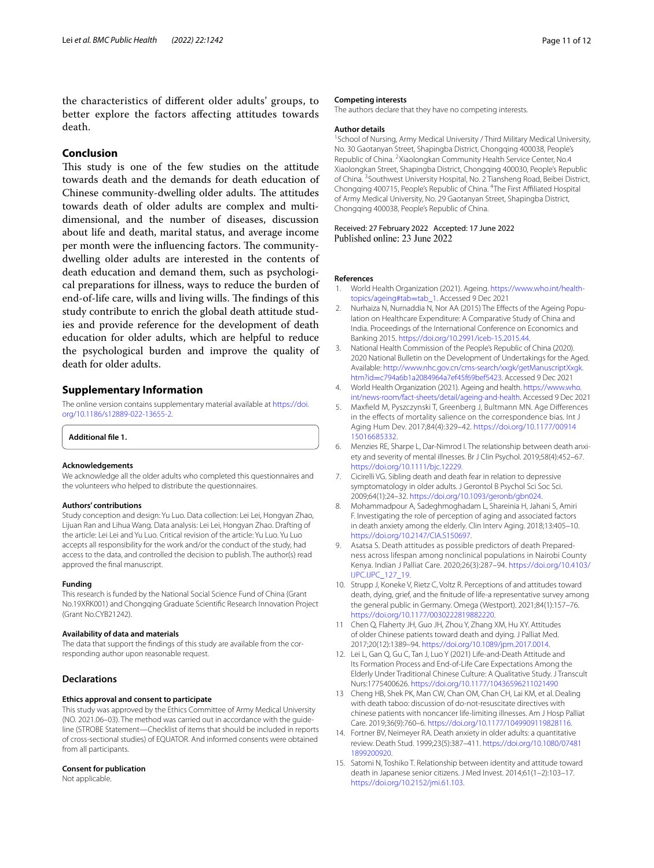the characteristics of diferent older adults' groups, to better explore the factors afecting attitudes towards death.

# **Conclusion**

This study is one of the few studies on the attitude towards death and the demands for death education of Chinese community-dwelling older adults. The attitudes towards death of older adults are complex and multidimensional, and the number of diseases, discussion about life and death, marital status, and average income per month were the influencing factors. The communitydwelling older adults are interested in the contents of death education and demand them, such as psychological preparations for illness, ways to reduce the burden of end-of-life care, wills and living wills. The findings of this study contribute to enrich the global death attitude studies and provide reference for the development of death education for older adults, which are helpful to reduce the psychological burden and improve the quality of death for older adults.

### **Supplementary Information**

The online version contains supplementary material available at [https://doi.](https://doi.org/10.1186/s12889-022-13655-2) [org/10.1186/s12889-022-13655-2](https://doi.org/10.1186/s12889-022-13655-2).

<span id="page-10-15"></span>**Additional fle 1.** 

#### **Acknowledgements**

We acknowledge all the older adults who completed this questionnaires and the volunteers who helped to distribute the questionnaires.

#### **Authors' contributions**

Study conception and design: Yu Luo. Data collection: Lei Lei, Hongyan Zhao, Lijuan Ran and Lihua Wang. Data analysis: Lei Lei, Hongyan Zhao. Drafting of the article: Lei Lei and Yu Luo. Critical revision of the article: Yu Luo. Yu Luo accepts all responsibility for the work and/or the conduct of the study, had access to the data, and controlled the decision to publish. The author(s) read approved the fnal manuscript.

#### **Funding**

This research is funded by the National Social Science Fund of China (Grant No.19XRK001) and Chongqing Graduate Scientifc Research Innovation Project (Grant No.CYB21242).

#### **Availability of data and materials**

The data that support the fndings of this study are available from the corresponding author upon reasonable request.

#### **Declarations**

#### **Ethics approval and consent to participate**

This study was approved by the Ethics Committee of Army Medical University (NO. 2021.06–03). The method was carried out in accordance with the guideline (STROBE Statement—Checklist of items that should be included in reports of cross-sectional studies) of EQUATOR. And informed consents were obtained from all participants.

#### **Consent for publication**

Not applicable.

#### **Competing interests**

The authors declare that they have no competing interests.

#### **Author details**

<sup>1</sup> School of Nursing, Army Medical University / Third Military Medical University, No. 30 Gaotanyan Street, Shapingba District, Chongqing 400038, People's Republic of China. <sup>2</sup> Xiaolongkan Community Health Service Center, No.4 Xiaolongkan Street, Shapingba District, Chongqing 400030, People's Republic of China. <sup>3</sup> Southwest University Hospital, No. 2 Tiansheng Road, Beibei District, Chongqing 400715, People's Republic of China. <sup>4</sup>The First Affiliated Hospital of Army Medical University, No. 29 Gaotanyan Street, Shapingba District, Chongqing 400038, People's Republic of China.

# Received: 27 February 2022 Accepted: 17 June 2022<br>Published online: 23 June 2022

#### **References**

- <span id="page-10-0"></span>1. World Health Organization (2021). Ageing. [https://www.who.int/health](https://www.who.int/health-topics/ageing#tab=tab_1)[topics/ageing#tab](https://www.who.int/health-topics/ageing#tab=tab_1)=tab\_1. Accessed 9 Dec 2021
- <span id="page-10-1"></span>2. Nurhaiza N, Nurnaddia N, Nor AA (2015) The Effects of the Ageing Population on Healthcare Expenditure: A Comparative Study of China and India. Proceedings of the International Conference on Economics and Banking 2015. [https://doi.org/10.2991/iceb-15.2015.44.](https://doi.org/10.2991/iceb-15.2015.44)
- <span id="page-10-2"></span>3. National Health Commission of the People's Republic of China (2020). 2020 National Bulletin on the Development of Undertakings for the Aged. Available: [http://www.nhc.gov.cn/cms-search/xxgk/getManuscriptXxgk.](http://www.nhc.gov.cn/cms-search/xxgk/getManuscriptXxgk.htm?id=c794a6b1a2084964a7ef45f69bef5423) htm?id=[c794a6b1a2084964a7ef45f69bef5423.](http://www.nhc.gov.cn/cms-search/xxgk/getManuscriptXxgk.htm?id=c794a6b1a2084964a7ef45f69bef5423) Accessed 9 Dec 2021
- <span id="page-10-3"></span>4. World Health Organization (2021). Ageing and health. [https://www.who.](https://www.who.int/news-room/fact-sheets/detail/ageing-and-health) [int/news-room/fact-sheets/detail/ageing-and-health.](https://www.who.int/news-room/fact-sheets/detail/ageing-and-health) Accessed 9 Dec 2021
- <span id="page-10-4"></span>5. Maxfeld M, Pyszczynski T, Greenberg J, Bultmann MN. Age Diferences in the efects of mortality salience on the correspondence bias. Int J Aging Hum Dev. 2017;84(4):329–42. [https://doi.org/10.1177/00914](https://doi.org/10.1177/0091415016685332) [15016685332](https://doi.org/10.1177/0091415016685332).
- <span id="page-10-5"></span>6. Menzies RE, Sharpe L, Dar-Nimrod I. The relationship between death anxiety and severity of mental illnesses. Br J Clin Psychol. 2019;58(4):452–67. <https://doi.org/10.1111/bjc.12229>.
- <span id="page-10-6"></span>7. Cicirelli VG. Sibling death and death fear in relation to depressive symptomatology in older adults. J Gerontol B Psychol Sci Soc Sci. 2009;64(1):24–32. [https://doi.org/10.1093/geronb/gbn024.](https://doi.org/10.1093/geronb/gbn024)
- <span id="page-10-7"></span>8. Mohammadpour A, Sadeghmoghadam L, Shareinia H, Jahani S, Amiri F. Investigating the role of perception of aging and associated factors in death anxiety among the elderly. Clin Interv Aging. 2018;13:405–10. [https://doi.org/10.2147/CIA.S150697.](https://doi.org/10.2147/CIA.S150697)
- <span id="page-10-8"></span>9. Asatsa S. Death attitudes as possible predictors of death Preparedness across lifespan among nonclinical populations in Nairobi County Kenya. Indian J Palliat Care. 2020;26(3):287–94. [https://doi.org/10.4103/](https://doi.org/10.4103/IJPC.IJPC_127_19) [IJPC.IJPC\\_127\\_19](https://doi.org/10.4103/IJPC.IJPC_127_19).
- <span id="page-10-9"></span>10. Strupp J, Koneke V, Rietz C, Voltz R. Perceptions of and attitudes toward death, dying, grief, and the fnitude of life-a representative survey among the general public in Germany. Omega (Westport). 2021;84(1):157–76. <https://doi.org/10.1177/0030222819882220>.
- <span id="page-10-10"></span>11 Chen Q, Flaherty JH, Guo JH, Zhou Y, Zhang XM, Hu XY. Attitudes of older Chinese patients toward death and dying. J Palliat Med. 2017;20(12):1389–94. [https://doi.org/10.1089/jpm.2017.0014.](https://doi.org/10.1089/jpm.2017.0014)
- <span id="page-10-11"></span>12. Lei L, Gan Q, Gu C, Tan J, Luo Y (2021) Life-and-Death Attitude and Its Formation Process and End-of-Life Care Expectations Among the Elderly Under Traditional Chinese Culture: A Qualitative Study. J Transcult Nurs:1775400626.<https://doi.org/10.1177/10436596211021490>
- <span id="page-10-12"></span>13 Cheng HB, Shek PK, Man CW, Chan OM, Chan CH, Lai KM, et al. Dealing with death taboo: discussion of do-not-resuscitate directives with chinese patients with noncancer life-limiting illnesses. Am J Hosp Palliat Care. 2019;36(9):760–6. [https://doi.org/10.1177/1049909119828116.](https://doi.org/10.1177/1049909119828116)
- <span id="page-10-13"></span>14. Fortner BV, Neimeyer RA. Death anxiety in older adults: a quantitative review. Death Stud. 1999;23(5):387–411. [https://doi.org/10.1080/07481](https://doi.org/10.1080/074811899200920) [1899200920](https://doi.org/10.1080/074811899200920).
- <span id="page-10-14"></span>15. Satomi N, Toshiko T. Relationship between identity and attitude toward death in Japanese senior citizens. J Med Invest. 2014;61(1–2):103–17. [https://doi.org/10.2152/jmi.61.103.](https://doi.org/10.2152/jmi.61.103)